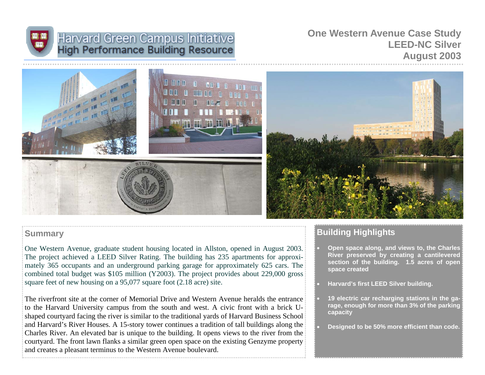

# Harvard Green Campus Initiative<br>High Performance Building Resource

## **One Western Avenue Case Study LEED-NC Silver August 2003**



## **Summary**

One Western Avenue, graduate student housing located in Allston, opened in August 2003. The project achieved a LEED Silver Rating. The building has 235 apartments for approximately 365 occupants and an underground parking garage for approximately 625 cars. The combined total budget was \$105 million (Y2003). The project provides about 229,000 gross square feet of new housing on a 95,077 square foot (2.18 acre) site.

The riverfront site at the corner of Memorial Drive and Western Avenue heralds the entrance to the Harvard University campus from the south and west. A civic front with a brick Ushaped courtyard facing the river is similar to the traditional yards of Harvard Business School and Harvard's River Houses. A 15-story tower continues a tradition of tall buildings along the Charles River. An elevated bar is unique to the building. It opens views to the river from the courtyard. The front lawn flanks a similar green open space on the existing Genzyme property and creates a pleasant terminus to the Western Avenue boulevard.

# **Building Highlights**

- **Open space along, and views to, the Charles River preserved by creating a cantilevered section of the building. 1.5 acres of open space created**
- **Harvard's first LEED Silver building.**
- **19 electric car recharging stations in the garage, enough for more than 3% of the parking capacity**
- **Designed to be 50% more efficient than code.**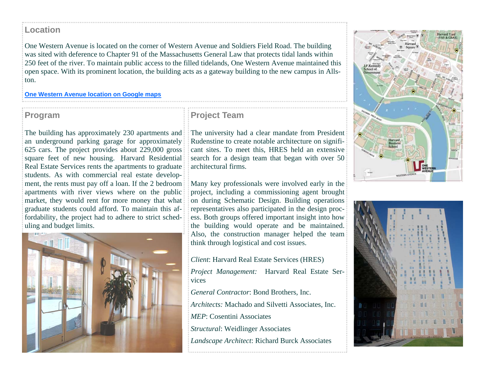## **Location**

One Western Avenue is located on the corner of Western Avenue and Soldiers Field Road. The building was sited with deference to Chapter 91 of the Massachusetts General Law that protects tidal lands within 250 feet of the river. To maintain public access to the filled tidelands, One Western Avenue maintained this open space. With its prominent location, the building acts as a gateway building to the new campus in Allston.

#### **One Western Avenue location on Google maps**

## **Program**

The building has approximately 230 apartments and an underground parking garage for approximately 625 cars. The project provides about 229,000 gross square feet of new housing. Harvard Residential Real Estate Services rents the apartments to graduate students. As with commercial real estate development, the rents must pay off a loan. If the 2 bedroom apartments with river views where on the public market, they would rent for more money that what graduate students could afford. To maintain this affordability, the project had to adhere to strict scheduling and budget limits.



## **Project Team**

The university had a clear mandate from President Rudenstine to create notable architecture on significant sites. To meet this, HRES held an extensive search for a design team that began with over 50 architectural firms.

Many key professionals were involved early in the project, including a commissioning agent brought on during Schematic Design. Building operations representatives also participated in the design process. Both groups offered important insight into how the building would operate and be maintained. Also, the construction manager helped the team think through logistical and cost issues.

- *Client*: Harvard Real Estate Services (HRES)
- *Project Management:* Harvard Real Estate Services
- *General Contractor*: Bond Brothers, Inc.
- *Architects:* Machado and Silvetti Associates, Inc.
- *MEP*: Cosentini Associates
- *Structural*: Weidlinger Associates
- *Landscape Architect*: Richard Burck Associates



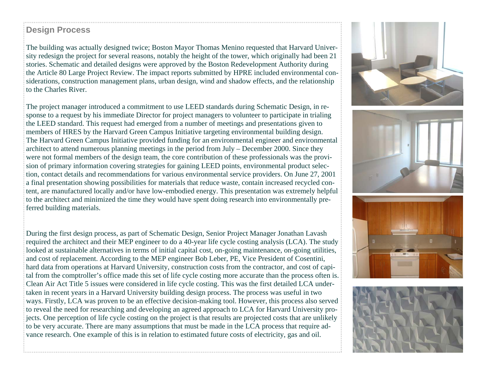## **Design Process**

The building was actually designed twice; Boston Mayor Thomas Menino requested that Harvard University redesign the project for several reasons, notably the height of the tower, which originally had been 21 stories. Schematic and detailed designs were approved by the Boston Redevelopment Authority during the Article 80 Large Project Review. The impact reports submitted by HPRE included environmental considerations, construction management plans, urban design, wind and shadow effects, and the relationship to the Charles River.

The project manager introduced a commitment to use LEED standards during Schematic Design, in response to a request by his immediate Director for project managers to volunteer to participate in trialing the LEED standard. This request had emerged from a number of meetings and presentations given to members of HRES by the Harvard Green Campus Initiative targeting environmental building design. The Harvard Green Campus Initiative provided funding for an environmental engineer and environmental architect to attend numerous planning meetings in the period from July – December 2000. Since they were not formal members of the design team, the core contribution of these professionals was the provision of primary information covering strategies for gaining LEED points, environmental product selection, contact details and recommendations for various environmental service providers. On June 27, 2001 a final presentation showing possibilities for materials that reduce waste, contain increased recycled content, are manufactured locally and/or have low-embodied energy. This presentation was extremely helpful to the architect and minimized the time they would have spent doing research into environmentally preferred building materials.

During the first design process, as part of Schematic Design, Senior Project Manager Jonathan Lavash required the architect and their MEP engineer to do a 40-year life cycle costing analysis (LCA). The study looked at sustainable alternatives in terms of initial capital cost, on-going maintenance, on-going utilities, and cost of replacement. According to the MEP engineer Bob Leber, PE, Vice President of Cosentini, hard data from operations at Harvard University, construction costs from the contractor, and cost of capital from the comptroller's office made this set of life cycle costing more accurate than the process often is. Clean Air Act Title 5 issues were considered in life cycle costing. This was the first detailed LCA undertaken in recent years in a Harvard University building design process. The process was useful in two ways. Firstly, LCA was proven to be an effective decision-making tool. However, this process also served to reveal the need for researching and developing an agreed approach to LCA for Harvard University projects. One perception of life cycle costing on the project is that results are projected costs that are unlikely to be very accurate. There are many assumptions that must be made in the LCA process that require advance research. One example of this is in relation to estimated future costs of electricity, gas and oil.







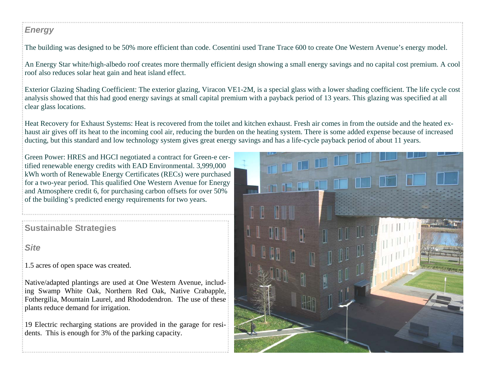## *Energy*

The building was designed to be 50% more efficient than code. Cosentini used Trane Trace 600 to create One Western Avenue's energy model.

An Energy Star white/high-albedo roof creates more thermally efficient design showing a small energy savings and no capital cost premium. A cool roof also reduces solar heat gain and heat island effect.

Exterior Glazing Shading Coefficient: The exterior glazing, Viracon VE1-2M, is a special glass with a lower shading coefficient. The life cycle cost analysis showed that this had good energy savings at small capital premium with a payback period of 13 years. This glazing was specified at all clear glass locations.

Heat Recovery for Exhaust Systems: Heat is recovered from the toilet and kitchen exhaust. Fresh air comes in from the outside and the heated exhaust air gives off its heat to the incoming cool air, reducing the burden on the heating system. There is some added expense because of increased ducting, but this standard and low technology system gives great energy savings and has a life-cycle payback period of about 11 years.

Green Power: HRES and HGCI negotiated a contract for Green-e certified renewable energy credits with EAD Environmental. 3,999,000 kWh worth of Renewable Energy Certificates (RECs) were purchased for a two-year period. This qualified One Western Avenue for Energy and Atmosphere credit 6, for purchasing carbon offsets for over 50% of the building's predicted energy requirements for two years.

**Sustainable Strategies**

*Site* 

1.5 acres of open space was created.

Native/adapted plantings are used at One Western Avenue, including Swamp White Oak, Northern Red Oak, Native Crabapple, Fothergilia, Mountain Laurel, and Rhododendron. The use of these plants reduce demand for irrigation.

19 Electric recharging stations are provided in the garage for residents. This is enough for 3% of the parking capacity.

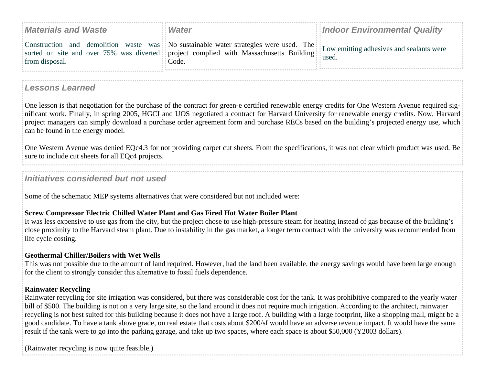| <b>Materials and Waste</b> | <b>Water</b>                                                                                                                                                                                                           | <b>Indoor Environmental Quality</b> |
|----------------------------|------------------------------------------------------------------------------------------------------------------------------------------------------------------------------------------------------------------------|-------------------------------------|
|                            | Construction and demolition waste was No sustainable water strategies were used. The Low emitting adhesives and sealants were<br>sorted on site and over 75% was diverted project complied with Massachusetts Building |                                     |
| from disposal.             | Code.                                                                                                                                                                                                                  | used.                               |

## *Lessons Learned*

One lesson is that negotiation for the purchase of the contract for green-e certified renewable energy credits for One Western Avenue required significant work. Finally, in spring 2005, HGCI and UOS negotiated a contract for Harvard University for renewable energy credits. Now, Harvard project managers can simply download a purchase order agreement form and purchase RECs based on the building's projected energy use, which can be found in the energy model.

One Western Avenue was denied EQc4.3 for not providing carpet cut sheets. From the specifications, it was not clear which product was used. Be sure to include cut sheets for all EQc4 projects.

## *Initiatives considered but not used*

Some of the schematic MEP systems alternatives that were considered but not included were:

## **Screw Compressor Electric Chilled Water Plant and Gas Fired Hot Water Boiler Plant**

It was less expensive to use gas from the city, but the project chose to use high-pressure steam for heating instead of gas because of the building's close proximity to the Harvard steam plant. Due to instability in the gas market, a longer term contract with the university was recommended from life cycle costing.

## **Geothermal Chiller/Boilers with Wet Wells**

This was not possible due to the amount of land required. However, had the land been available, the energy savings would have been large enough for the client to strongly consider this alternative to fossil fuels dependence.

## **Rainwater Recycling**

Rainwater recycling for site irrigation was considered, but there was considerable cost for the tank. It was prohibitive compared to the yearly water bill of \$500. The building is not on a very large site, so the land around it does not require much irrigation. According to the architect, rainwater recycling is not best suited for this building because it does not have a large roof. A building with a large footprint, like a shopping mall, might be a good candidate. To have a tank above grade, on real estate that costs about \$200/sf would have an adverse revenue impact. It would have the same result if the tank were to go into the parking garage, and take up two spaces, where each space is about \$50,000 (Y2003 dollars).

(Rainwater recycling is now quite feasible.)